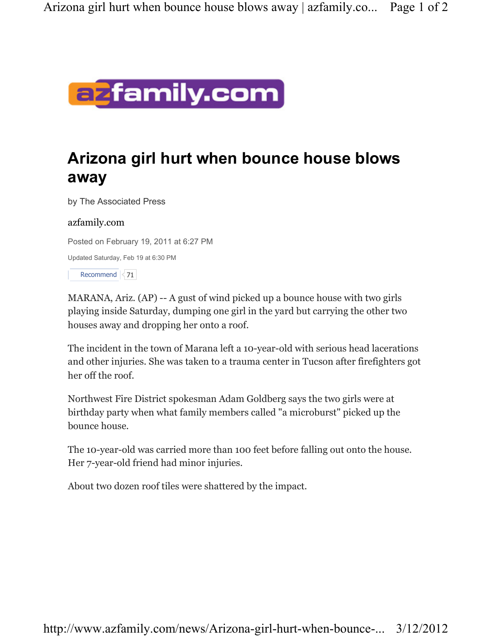

## Arizona girl hurt when bounce house blows away

by The Associated Press

## azfamily.com

Posted on February 19, 2011 at 6:27 PM

Updated Saturday, Feb 19 at 6:30 PM

Recommend  $\vert$  71

MARANA, Ariz. (AP) -- A gust of wind picked up a bounce house with two girls playing inside Saturday, dumping one girl in the yard but carrying the other two houses away and dropping her onto a roof.

The incident in the town of Marana left a 10-year-old with serious head lacerations and other injuries. She was taken to a trauma center in Tucson after firefighters got her off the roof.

Northwest Fire District spokesman Adam Goldberg says the two girls were at birthday party when what family members called "a microburst" picked up the bounce house.

The 10-year-old was carried more than 100 feet before falling out onto the house. Her 7-year-old friend had minor injuries.

About two dozen roof tiles were shattered by the impact.